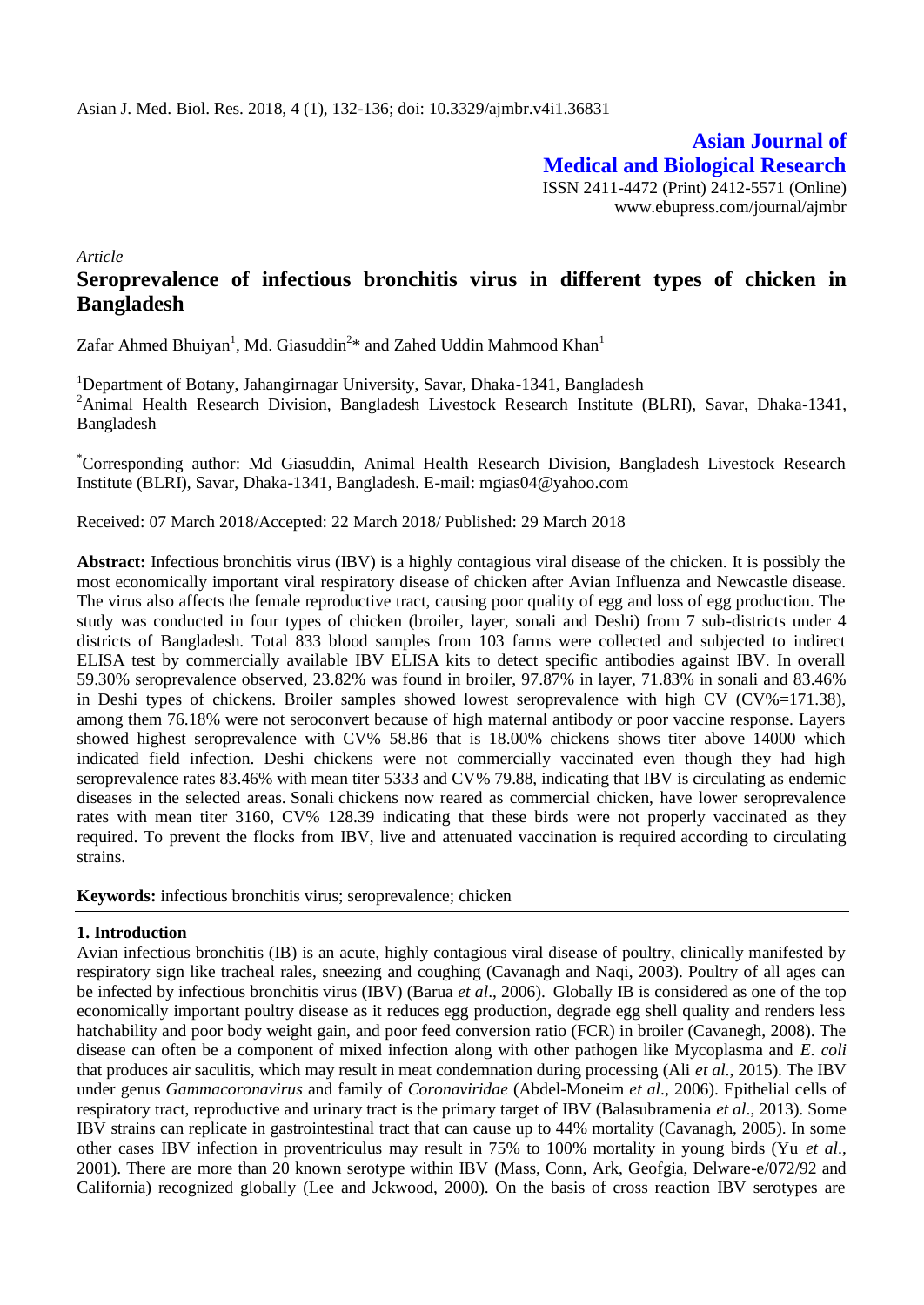**Asian Journal of Medical and Biological Research** ISSN 2411-4472 (Print) 2412-5571 (Online) www.ebupress.com/journal/ajmbr

*Article*

# **Seroprevalence of infectious bronchitis virus in different types of chicken in Bangladesh**

Zafar Ahmed Bhuiyan<sup>1</sup>, Md. Giasuddin<sup>2</sup>\* and Zahed Uddin Mahmood Khan<sup>1</sup>

<sup>1</sup>Department of Botany, Jahangirnagar University, Savar, Dhaka-1341, Bangladesh <sup>2</sup>Animal Health Research Division, Bangladesh Livestock Research Institute (BLRI), Savar, Dhaka-1341, Bangladesh

\*Corresponding author: Md Giasuddin, Animal Health Research Division, Bangladesh Livestock Research Institute (BLRI), Savar, Dhaka-1341, Bangladesh. E-mail: mgias04@yahoo.com

Received: 07 March 2018/Accepted: 22 March 2018/ Published: 29 March 2018

**Abstract:** Infectious bronchitis virus (IBV) is a highly contagious viral disease of the chicken. It is possibly the most economically important viral respiratory disease of chicken after Avian Influenza and Newcastle disease. The virus also affects the female reproductive tract, causing poor quality of egg and loss of egg production. The study was conducted in four types of chicken (broiler, layer, sonali and Deshi) from 7 sub-districts under 4 districts of Bangladesh. Total 833 blood samples from 103 farms were collected and subjected to indirect ELISA test by commercially available IBV ELISA kits to detect specific antibodies against IBV. In overall 59.30% seroprevalence observed, 23.82% was found in broiler, 97.87% in layer, 71.83% in sonali and 83.46% in Deshi types of chickens. Broiler samples showed lowest seroprevalence with high CV (CV%=171.38), among them 76.18% were not seroconvert because of high maternal antibody or poor vaccine response. Layers showed highest seroprevalence with CV% 58.86 that is 18.00% chickens shows titer above 14000 which indicated field infection. Deshi chickens were not commercially vaccinated even though they had high seroprevalence rates 83.46% with mean titer 5333 and CV% 79.88, indicating that IBV is circulating as endemic diseases in the selected areas. Sonali chickens now reared as commercial chicken, have lower seroprevalence rates with mean titer 3160, CV% 128.39 indicating that these birds were not properly vaccinated as they required. To prevent the flocks from IBV, live and attenuated vaccination is required according to circulating strains.

**Keywords:** infectious bronchitis virus; seroprevalence; chicken

### **1. Introduction**

Avian infectious bronchitis (IB) is an acute, highly contagious viral disease of poultry, clinically manifested by respiratory sign like tracheal rales, sneezing and coughing (Cavanagh and Naqi, 2003). Poultry of all ages can be infected by infectious bronchitis virus (IBV) (Barua *et al*., 2006). Globally IB is considered as one of the top economically important poultry disease as it reduces egg production, degrade egg shell quality and renders less hatchability and poor body weight gain, and poor feed conversion ratio (FCR) in broiler (Cavanegh, 2008). The disease can often be a component of mixed infection along with other pathogen like Mycoplasma and *E. coli* that produces air saculitis, which may result in meat condemnation during processing (Ali *et al*., 2015). The IBV under genus *Gammacoronavirus* and family of *Coronaviridae* (Abdel-Moneim *et al*., 2006). Epithelial cells of respiratory tract, reproductive and urinary tract is the primary target of IBV (Balasubramenia *et al*., 2013). Some IBV strains can replicate in gastrointestinal tract that can cause up to 44% mortality (Cavanagh, 2005). In some other cases IBV infection in proventriculus may result in 75% to 100% mortality in young birds (Yu *et al*., 2001). There are more than 20 known serotype within IBV (Mass, Conn, Ark, Geofgia, Delware-e/072/92 and California) recognized globally (Lee and Jckwood, 2000). On the basis of cross reaction IBV serotypes are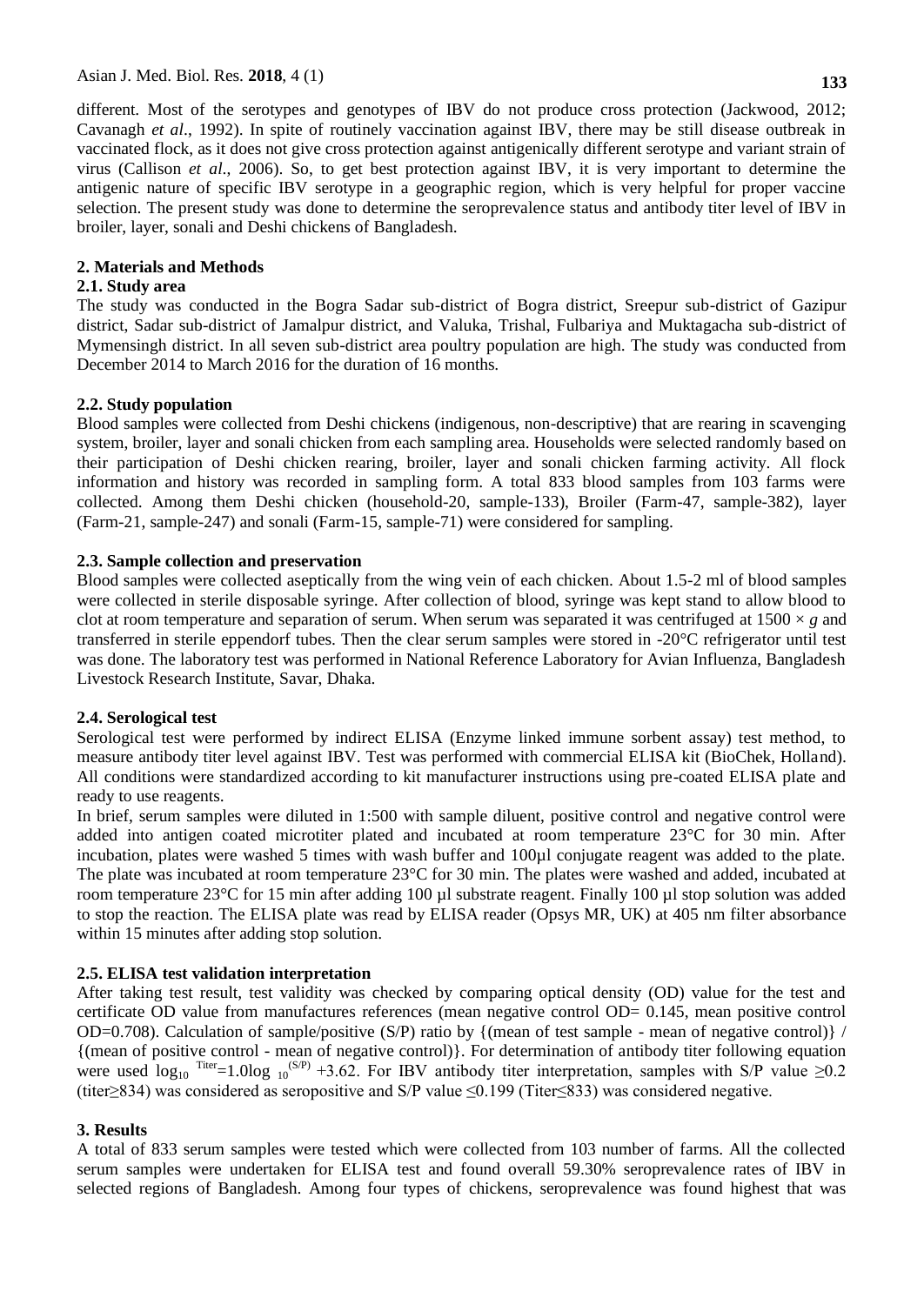different. Most of the serotypes and genotypes of IBV do not produce cross protection (Jackwood, 2012; Cavanagh *et al*., 1992). In spite of routinely vaccination against IBV, there may be still disease outbreak in vaccinated flock, as it does not give cross protection against antigenically different serotype and variant strain of virus (Callison *et al*., 2006). So, to get best protection against IBV, it is very important to determine the antigenic nature of specific IBV serotype in a geographic region, which is very helpful for proper vaccine selection. The present study was done to determine the seroprevalence status and antibody titer level of IBV in broiler, layer, sonali and Deshi chickens of Bangladesh.

### **2. Materials and Methods**

### **2.1. Study area**

The study was conducted in the Bogra Sadar sub-district of Bogra district, Sreepur sub-district of Gazipur district, Sadar sub-district of Jamalpur district, and Valuka, Trishal, Fulbariya and Muktagacha sub-district of Mymensingh district. In all seven sub-district area poultry population are high. The study was conducted from December 2014 to March 2016 for the duration of 16 months.

# **2.2. Study population**

Blood samples were collected from Deshi chickens (indigenous, non-descriptive) that are rearing in scavenging system, broiler, layer and sonali chicken from each sampling area. Households were selected randomly based on their participation of Deshi chicken rearing, broiler, layer and sonali chicken farming activity. All flock information and history was recorded in sampling form. A total 833 blood samples from 103 farms were collected. Among them Deshi chicken (household-20, sample-133), Broiler (Farm-47, sample-382), layer (Farm-21, sample-247) and sonali (Farm-15, sample-71) were considered for sampling.

# **2.3. Sample collection and preservation**

Blood samples were collected aseptically from the wing vein of each chicken. About 1.5-2 ml of blood samples were collected in sterile disposable syringe. After collection of blood, syringe was kept stand to allow blood to clot at room temperature and separation of serum. When serum was separated it was centrifuged at  $1500 \times g$  and transferred in sterile eppendorf tubes. Then the clear serum samples were stored in -20°C refrigerator until test was done. The laboratory test was performed in National Reference Laboratory for Avian Influenza, Bangladesh Livestock Research Institute, Savar, Dhaka.

# **2.4. Serological test**

Serological test were performed by indirect ELISA (Enzyme linked immune sorbent assay) test method, to measure antibody titer level against IBV. Test was performed with commercial ELISA kit (BioChek, Holland). All conditions were standardized according to kit manufacturer instructions using pre-coated ELISA plate and ready to use reagents.

In brief, serum samples were diluted in 1:500 with sample diluent, positive control and negative control were added into antigen coated microtiter plated and incubated at room temperature 23°C for 30 min. After incubation, plates were washed 5 times with wash buffer and 100µl conjugate reagent was added to the plate. The plate was incubated at room temperature 23°C for 30 min. The plates were washed and added, incubated at room temperature 23°C for 15 min after adding 100 µl substrate reagent. Finally 100 µl stop solution was added to stop the reaction. The ELISA plate was read by ELISA reader (Opsys MR, UK) at 405 nm filter absorbance within 15 minutes after adding stop solution.

# **2.5. ELISA test validation interpretation**

After taking test result, test validity was checked by comparing optical density (OD) value for the test and certificate OD value from manufactures references (mean negative control OD= 0.145, mean positive control OD=0.708). Calculation of sample/positive (S/P) ratio by {(mean of test sample - mean of negative control)} / {(mean of positive control - mean of negative control)}. For determination of antibody titer following equation were used  $\log_{10}$  Titer=1.0log  $_{10}$ <sup>(S/P)</sup> +3.62. For IBV antibody titer interpretation, samples with S/P value  $\geq$ 0.2 (titer≥834) was considered as seropositive and S/P value ≤0.199 (Titer≤833) was considered negative.

### **3. Results**

A total of 833 serum samples were tested which were collected from 103 number of farms. All the collected serum samples were undertaken for ELISA test and found overall 59.30% seroprevalence rates of IBV in selected regions of Bangladesh. Among four types of chickens, seroprevalence was found highest that was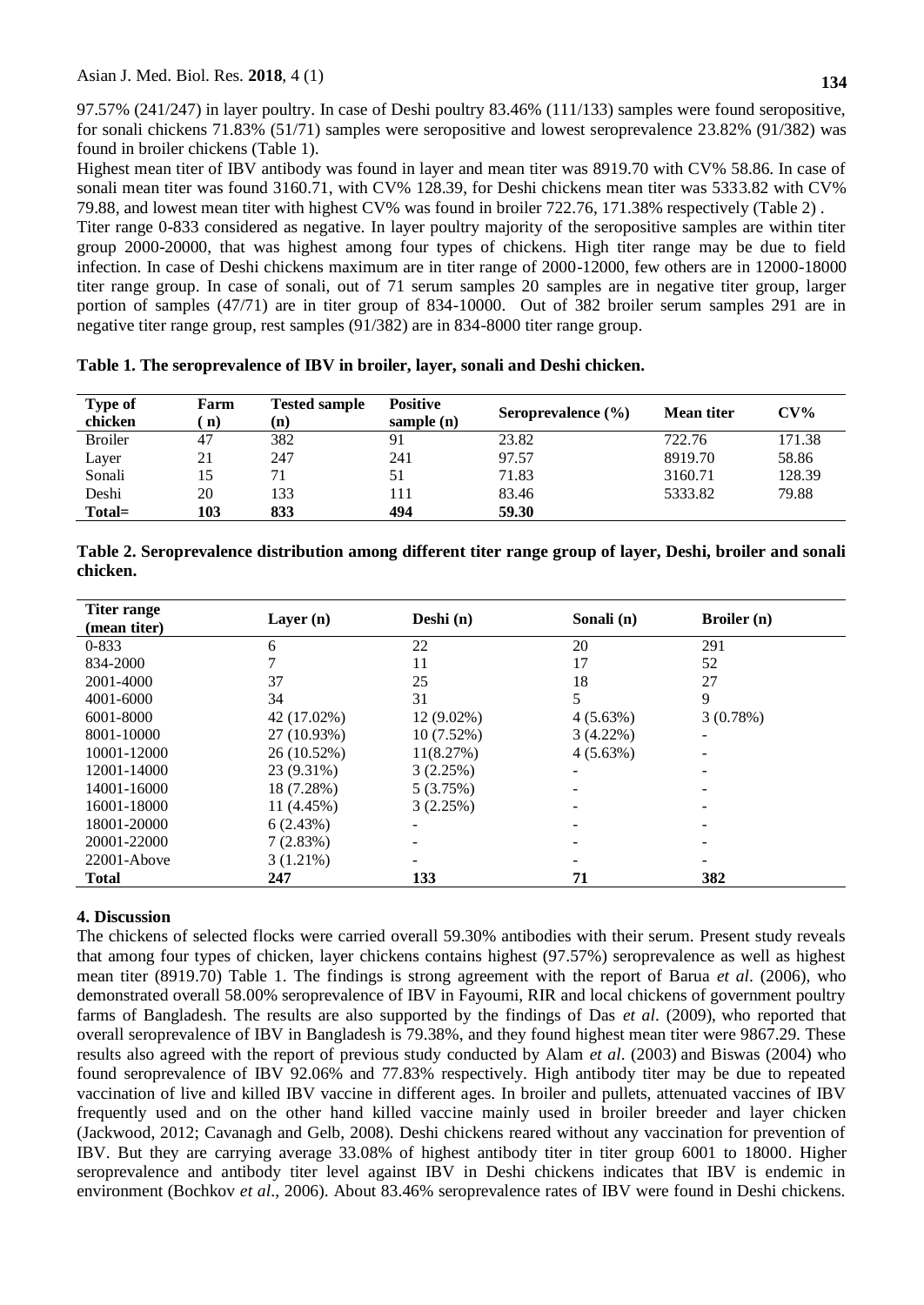97.57% (241/247) in layer poultry. In case of Deshi poultry 83.46% (111/133) samples were found seropositive, for sonali chickens 71.83% (51/71) samples were seropositive and lowest seroprevalence 23.82% (91/382) was found in broiler chickens (Table 1).

Highest mean titer of IBV antibody was found in layer and mean titer was 8919.70 with CV% 58.86. In case of sonali mean titer was found 3160.71, with CV% 128.39, for Deshi chickens mean titer was 5333.82 with CV% 79.88, and lowest mean titer with highest CV% was found in broiler 722.76, 171.38% respectively (Table 2) .

Titer range 0-833 considered as negative. In layer poultry majority of the seropositive samples are within titer group 2000-20000, that was highest among four types of chickens. High titer range may be due to field infection. In case of Deshi chickens maximum are in titer range of 2000-12000, few others are in 12000-18000 titer range group. In case of sonali, out of 71 serum samples 20 samples are in negative titer group, larger portion of samples (47/71) are in titer group of 834-10000. Out of 382 broiler serum samples 291 are in negative titer range group, rest samples (91/382) are in 834-8000 titer range group.

|  |  |  | Table 1. The seroprevalence of IBV in broiler, layer, sonali and Deshi chicken. |
|--|--|--|---------------------------------------------------------------------------------|
|  |  |  |                                                                                 |

| <b>Type of</b> | Farm | <b>Tested sample</b> | <b>Positive</b> | Seroprevalence $(\% )$ | Mean titer | $CV\%$ |
|----------------|------|----------------------|-----------------|------------------------|------------|--------|
| chicken        | n)   | (n)                  | sample $(n)$    |                        |            |        |
| <b>Broiler</b> | 47   | 382                  | 91              | 23.82                  | 722.76     | 171.38 |
| Layer          | 21   | 247                  | 241             | 97.57                  | 8919.70    | 58.86  |
| Sonali         | 15   | 71                   | 51              | 71.83                  | 3160.71    | 128.39 |
| Deshi          | 20   | 133                  |                 | 83.46                  | 5333.82    | 79.88  |
| Total=         | 103  | 833                  | 494             | 59.30                  |            |        |

| Table 2. Seroprevalence distribution among different titer range group of layer, Deshi, broiler and sonali |  |  |
|------------------------------------------------------------------------------------------------------------|--|--|
| chicken.                                                                                                   |  |  |

| Titer range     | Layer $(n)$   | Deshi $(n)$  | Sonali (n)               | <b>Broiler</b> (n) |  |
|-----------------|---------------|--------------|--------------------------|--------------------|--|
| (mean titer)    |               |              |                          |                    |  |
| $0 - 833$       | 6             | 22           | 20                       | 291                |  |
| 834-2000        |               | 11           | 17                       | 52                 |  |
| 2001-4000       | 37            | 25           | 18                       | 27                 |  |
| 4001-6000       | 34            | 31           | 5                        | 9                  |  |
| 6001-8000       | 42 (17.02%)   | $12(9.02\%)$ | $4(5.63\%)$              | 3(0.78%)           |  |
| 8001-10000      | 27 (10.93%)   | $10(7.52\%)$ | $3(4.22\%)$              |                    |  |
| 10001-12000     | $26(10.52\%)$ | 11(8.27%)    | 4(5.63%)                 |                    |  |
| 12001-14000     | 23 (9.31%)    | 3(2.25%)     | $\overline{\phantom{a}}$ |                    |  |
| 14001-16000     | 18 (7.28%)    | 5(3.75%)     |                          |                    |  |
| 16001-18000     | 11 (4.45%)    | 3(2.25%)     |                          |                    |  |
| 18001-20000     | 6(2.43%)      |              |                          |                    |  |
| 20001-22000     | 7(2.83%)      |              |                          |                    |  |
| $22001 -$ Above | $3(1.21\%)$   |              |                          |                    |  |
| <b>Total</b>    | 247           | 133          | 71                       | 382                |  |

# **4. Discussion**

The chickens of selected flocks were carried overall 59.30% antibodies with their serum. Present study reveals that among four types of chicken, layer chickens contains highest (97.57%) seroprevalence as well as highest mean titer (8919.70) Table 1. The findings is strong agreement with the report of Barua *et al*. (2006), who demonstrated overall 58.00% seroprevalence of IBV in Fayoumi, RIR and local chickens of government poultry farms of Bangladesh. The results are also supported by the findings of Das *et al*. (2009), who reported that overall seroprevalence of IBV in Bangladesh is 79.38%, and they found highest mean titer were 9867.29. These results also agreed with the report of previous study conducted by Alam *et al*. (2003) and Biswas (2004) who found seroprevalence of IBV 92.06% and 77.83% respectively. High antibody titer may be due to repeated vaccination of live and killed IBV vaccine in different ages. In broiler and pullets, attenuated vaccines of IBV frequently used and on the other hand killed vaccine mainly used in broiler breeder and layer chicken (Jackwood, 2012; Cavanagh and Gelb, 2008). Deshi chickens reared without any vaccination for prevention of IBV. But they are carrying average 33.08% of highest antibody titer in titer group 6001 to 18000. Higher seroprevalence and antibody titer level against IBV in Deshi chickens indicates that IBV is endemic in environment (Bochkov *et al*., 2006). About 83.46% seroprevalence rates of IBV were found in Deshi chickens.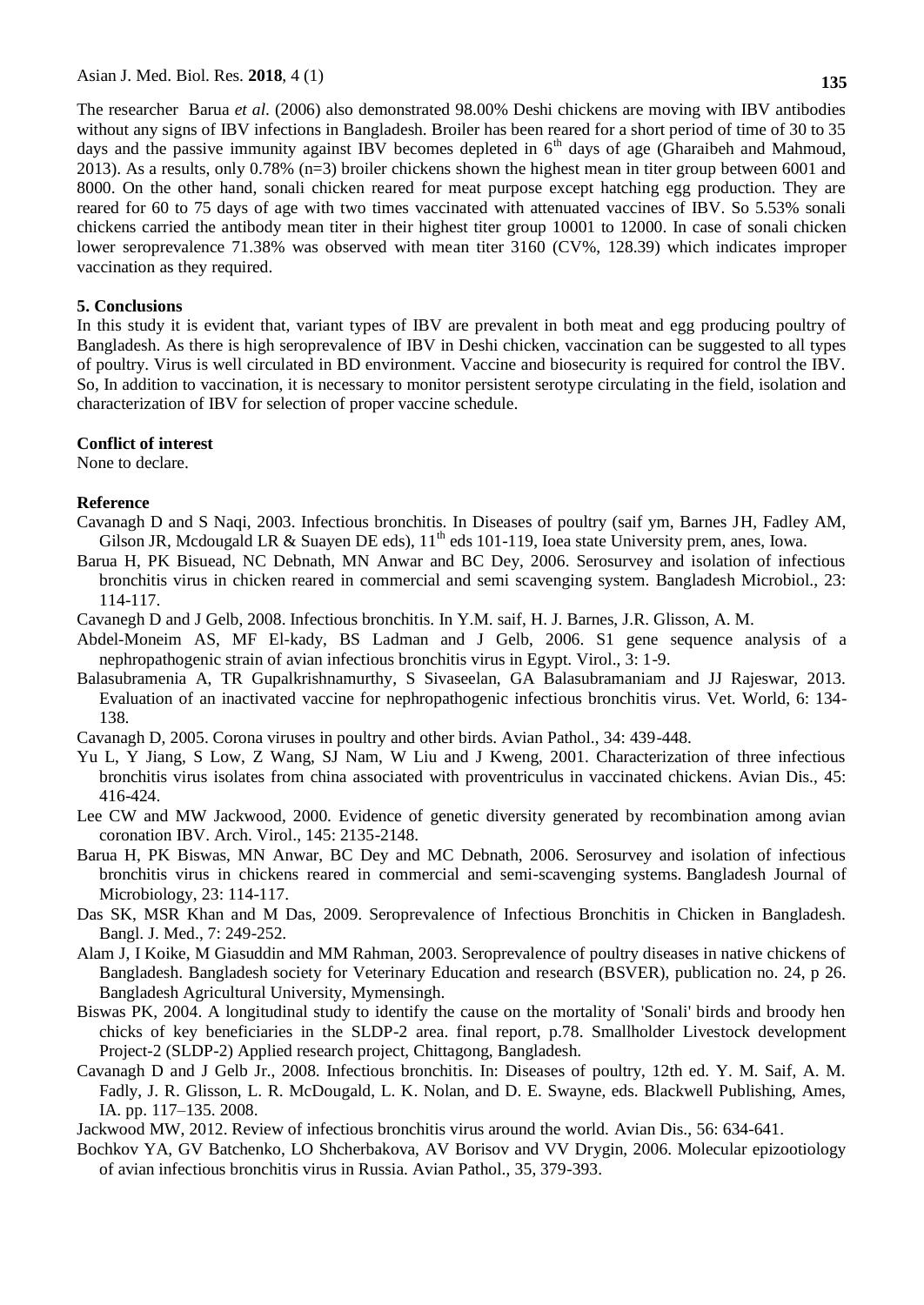The researcher Barua *et al*. (2006) also demonstrated 98.00% Deshi chickens are moving with IBV antibodies without any signs of IBV infections in Bangladesh. Broiler has been reared for a short period of time of 30 to 35 days and the passive immunity against IBV becomes depleted in  $6<sup>th</sup>$  days of age (Gharaibeh and Mahmoud, 2013). As a results, only 0.78% (n=3) broiler chickens shown the highest mean in titer group between 6001 and 8000. On the other hand, sonali chicken reared for meat purpose except hatching egg production. They are reared for 60 to 75 days of age with two times vaccinated with attenuated vaccines of IBV. So 5.53% sonali chickens carried the antibody mean titer in their highest titer group 10001 to 12000. In case of sonali chicken lower seroprevalence 71.38% was observed with mean titer 3160 (CV%, 128.39) which indicates improper vaccination as they required.

#### **5. Conclusions**

In this study it is evident that, variant types of IBV are prevalent in both meat and egg producing poultry of Bangladesh. As there is high seroprevalence of IBV in Deshi chicken, vaccination can be suggested to all types of poultry. Virus is well circulated in BD environment. Vaccine and biosecurity is required for control the IBV. So, In addition to vaccination, it is necessary to monitor persistent serotype circulating in the field, isolation and characterization of IBV for selection of proper vaccine schedule.

#### **Conflict of interest**

None to declare.

#### **Reference**

- Cavanagh D and S Naqi, 2003. Infectious bronchitis. In Diseases of poultry (saif ym, Barnes JH, Fadley AM, Gilson JR, Mcdougald LR & Suayen DE eds),  $11<sup>th</sup>$  eds 101-119, Ioea state University prem, anes, Iowa.
- Barua H, PK Bisuead, NC Debnath, MN Anwar and BC Dey, 2006. Serosurvey and isolation of infectious bronchitis virus in chicken reared in commercial and semi scavenging system. Bangladesh Microbiol., 23: 114-117.
- Cavanegh D and J Gelb, 2008. Infectious bronchitis. In Y.M. saif, H. J. Barnes, J.R. Glisson, A. M.
- Abdel-Moneim AS, MF El-kady, BS Ladman and J Gelb, 2006. S1 gene sequence analysis of a nephropathogenic strain of avian infectious bronchitis virus in Egypt. Virol., 3: 1-9.
- Balasubramenia A, TR Gupalkrishnamurthy, S Sivaseelan, GA Balasubramaniam and JJ Rajeswar, 2013. Evaluation of an inactivated vaccine for nephropathogenic infectious bronchitis virus. Vet. World, 6: 134- 138.
- Cavanagh D, 2005. Corona viruses in poultry and other birds. Avian Pathol., 34: 439-448.
- Yu L, Y Jiang, S Low, Z Wang, SJ Nam, W Liu and J Kweng, 2001. Characterization of three infectious bronchitis virus isolates from china associated with proventriculus in vaccinated chickens. Avian Dis., 45: 416-424.
- Lee CW and MW Jackwood, 2000. Evidence of genetic diversity generated by recombination among avian coronation IBV. Arch. Virol., 145: 2135-2148.
- Barua H, PK Biswas, MN Anwar, BC Dey and MC Debnath, 2006. Serosurvey and isolation of infectious bronchitis virus in chickens reared in commercial and semi-scavenging systems. Bangladesh Journal of Microbiology, 23: 114-117.
- Das SK, MSR Khan and M Das, 2009. Seroprevalence of Infectious Bronchitis in Chicken in Bangladesh. Bangl. J. Med., 7: 249-252.
- Alam J, I Koike, M Giasuddin and MM Rahman, 2003. Seroprevalence of poultry diseases in native chickens of Bangladesh. Bangladesh society for Veterinary Education and research (BSVER), publication no. 24, p 26. Bangladesh Agricultural University, Mymensingh.
- Biswas PK, 2004. A longitudinal study to identify the cause on the mortality of 'Sonali' birds and broody hen chicks of key beneficiaries in the SLDP-2 area. final report, p.78. Smallholder Livestock development Project-2 (SLDP-2) Applied research project, Chittagong, Bangladesh.
- Cavanagh D and J Gelb Jr., 2008. Infectious bronchitis. In: Diseases of poultry, 12th ed. Y. M. Saif, A. M. Fadly, J. R. Glisson, L. R. McDougald, L. K. Nolan, and D. E. Swayne, eds. Blackwell Publishing, Ames, IA. pp. 117–135. 2008.

Jackwood MW, 2012. Review of infectious bronchitis virus around the world. Avian Dis., 56: 634-641.

Bochkov YA, GV Batchenko, LO Shcherbakova, AV Borisov and VV Drygin, 2006. Molecular epizootiology of avian infectious bronchitis virus in Russia. Avian Pathol., 35, 379-393.